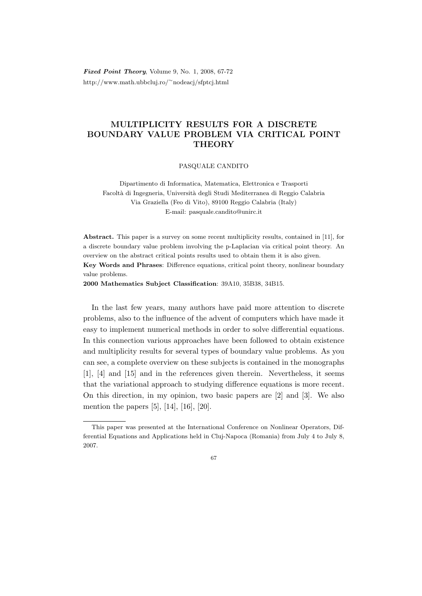Fixed Point Theory, Volume 9, No. 1, 2008, 67-72 http://www.math.ubbcluj.ro/<sup>∼</sup>nodeacj/sfptcj.html

## MULTIPLICITY RESULTS FOR A DISCRETE BOUNDARY VALUE PROBLEM VIA CRITICAL POINT **THEORY**

PASQUALE CANDITO

Dipartimento di Informatica, Matematica, Elettronica e Trasporti Facolt`a di Ingegneria, Universit`a degli Studi Mediterranea di Reggio Calabria Via Graziella (Feo di Vito), 89100 Reggio Calabria (Italy) E-mail: pasquale.candito@unirc.it

Abstract. This paper is a survey on some recent multiplicity results, contained in [11], for a discrete boundary value problem involving the p-Laplacian via critical point theory. An overview on the abstract critical points results used to obtain them it is also given. Key Words and Phrases: Difference equations, critical point theory, nonlinear boundary value problems.

2000 Mathematics Subject Classification: 39A10, 35B38, 34B15.

In the last few years, many authors have paid more attention to discrete problems, also to the influence of the advent of computers which have made it easy to implement numerical methods in order to solve differential equations. In this connection various approaches have been followed to obtain existence and multiplicity results for several types of boundary value problems. As you can see, a complete overview on these subjects is contained in the monographs [1], [4] and [15] and in the references given therein. Nevertheless, it seems that the variational approach to studying difference equations is more recent. On this direction, in my opinion, two basic papers are [2] and [3]. We also mention the papers [5], [14], [16], [20].

67

This paper was presented at the International Conference on Nonlinear Operators, Differential Equations and Applications held in Cluj-Napoca (Romania) from July 4 to July 8, 2007.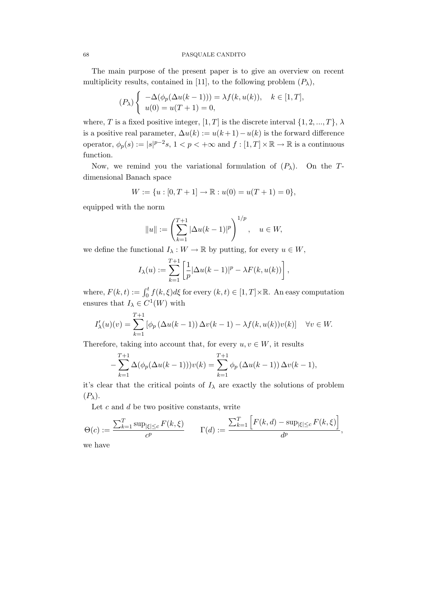The main purpose of the present paper is to give an overview on recent multiplicity results, contained in [11], to the following problem  $(P_\lambda)$ ,

$$
(P_{\lambda})\begin{cases}\n-\Delta(\phi_p(\Delta u(k-1))) = \lambda f(k, u(k)), & k \in [1, T], \\
u(0) = u(T+1) = 0,\n\end{cases}
$$

where, T is a fixed positive integer,  $[1, T]$  is the discrete interval  $\{1, 2, ..., T\}, \lambda$ is a positive real parameter,  $\Delta u(k) := u(k+1) - u(k)$  is the forward difference operator,  $\phi_p(s) := |s|^{p-2}s$ ,  $1 < p < +\infty$  and  $f : [1, T] \times \mathbb{R} \to \mathbb{R}$  is a continuous function.

Now, we remind you the variational formulation of  $(P_\lambda)$ . On the Tdimensional Banach space

$$
W := \{u : [0, T + 1] \to \mathbb{R} : u(0) = u(T + 1) = 0\},\
$$

equipped with the norm

$$
||u|| := \left(\sum_{k=1}^{T+1} |\Delta u(k-1)|^p\right)^{1/p}, \quad u \in W,
$$

we define the functional  $I_\lambda:W\to\mathbb{R}$  by putting, for every  $u\in W,$ 

$$
I_{\lambda}(u) := \sum_{k=1}^{T+1} \left[ \frac{1}{p} |\Delta u(k-1)|^{p} - \lambda F(k, u(k)) \right],
$$

where,  $F(k, t) := \int_0^t f(k, \xi) d\xi$  for every  $(k, t) \in [1, T] \times \mathbb{R}$ . An easy computation ensures that  $I_{\lambda} \in C^{1}(W)$  with

$$
I'_{\lambda}(u)(v) = \sum_{k=1}^{T+1} \left[ \phi_p \left( \Delta u(k-1) \right) \Delta v(k-1) - \lambda f(k, u(k)) v(k) \right] \quad \forall v \in W.
$$

Therefore, taking into account that, for every  $u, v \in W$ , it results

$$
-\sum_{k=1}^{T+1} \Delta(\phi_p(\Delta u(k-1)))v(k) = \sum_{k=1}^{T+1} \phi_p(\Delta u(k-1)) \Delta v(k-1),
$$

it's clear that the critical points of  $I_\lambda$  are exactly the solutions of problem  $(P_\lambda)$ .

Let  $c$  and  $d$  be two positive constants, write

$$
\Theta(c) := \frac{\sum_{k=1}^T \sup_{|\xi| \le c} F(k,\xi)}{c^p} \qquad \Gamma(d) := \frac{\sum_{k=1}^T \left[ F(k,d) - \sup_{|\xi| \le c} F(k,\xi) \right]}{d^p},
$$

we have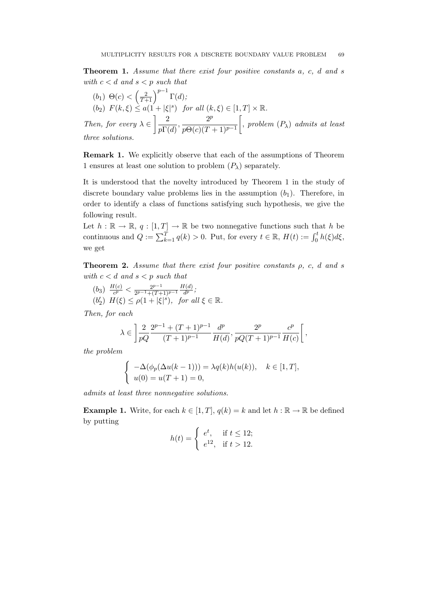**Theorem 1.** Assume that there exist four positive constants a, c, d and s with  $c < d$  and  $s < p$  such that

(b<sub>1</sub>) 
$$
\Theta(c) < \left(\frac{2}{T+1}\right)^{p-1} \Gamma(d)
$$
;  
\n(b<sub>2</sub>)  $F(k,\xi) \le a(1+|\xi|^s)$  for all  $(k,\xi) \in [1,T] \times \mathbb{R}$ .  
\nThen, for every  $\lambda \in \left] \frac{2}{p\Gamma(d)}, \frac{2^p}{p\Theta(c)(T+1)^{p-1}} \right[$ , problem  $(P_\lambda)$  admits at least three solutions.

Remark 1. We explicitly observe that each of the assumptions of Theorem 1 ensures at least one solution to problem  $(P_\lambda)$  separately.

It is understood that the novelty introduced by Theorem 1 in the study of discrete boundary value problems lies in the assumption  $(b_1)$ . Therefore, in order to identify a class of functions satisfying such hypothesis, we give the following result.

Let  $h : \mathbb{R} \to \mathbb{R}$ ,  $q : [1, T] \to \mathbb{R}$  be two nonnegative functions such that h be continuous and  $Q := \sum_{k=1}^{T} q(k) > 0$ . Put, for every  $t \in \mathbb{R}$ ,  $H(t) := \int_0^t h(\xi) d\xi$ , we get

**Theorem 2.** Assume that there exist four positive constants  $\rho$ , c, d and s with  $c < d$  and  $s < p$  such that

 $(b_3) \frac{H(c)}{c^p}$  $\frac{H(c)}{c^p} < \frac{2^{p-1}}{2^{p-1}+(T+1)}$  $\frac{2^{p-1}+(T+1)^{p-1}}{2^{p-1}}$  $H(d)$  $\frac{d(a)}{d^p}$ ;  $(b'_2)$   $H(\xi) \leq \rho(1+|\xi|^s)$ , for all  $\xi \in \mathbb{R}$ .

Then, for each

$$
\lambda \in \left] \frac{2}{pQ} \frac{2^{p-1} + (T+1)^{p-1}}{(T+1)^{p-1}} \frac{d^p}{H(d)}, \frac{2^p}{pQ(T+1)^{p-1}} \frac{c^p}{H(c)} \right[ ,
$$

the problem

$$
\begin{cases}\n-\Delta(\phi_p(\Delta u(k-1))) = \lambda q(k)h(u(k)), & k \in [1, T], \\
u(0) = u(T+1) = 0,\n\end{cases}
$$

admits at least three nonnegative solutions.

**Example 1.** Write, for each  $k \in [1, T]$ ,  $q(k) = k$  and let  $h : \mathbb{R} \to \mathbb{R}$  be defined by putting

$$
h(t) = \begin{cases} e^t, & \text{if } t \le 12; \\ e^{12}, & \text{if } t > 12. \end{cases}
$$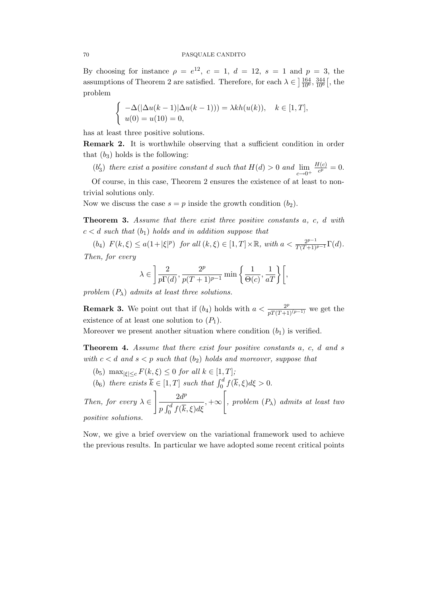By choosing for instance  $\rho = e^{12}$ ,  $c = 1$ ,  $d = 12$ ,  $s = 1$  and  $p = 3$ , the assumptions of Theorem 2 are satisfied. Therefore, for each  $\lambda \in \left] \frac{164}{10^6}, \frac{344}{10^6} \right[$ , the problem

$$
\begin{cases}\n-\Delta(|\Delta u(k-1)|\Delta u(k-1))) = \lambda kh(u(k)), & k \in [1, T], \\
u(0) = u(10) = 0,\n\end{cases}
$$

has at least three positive solutions.

Remark 2. It is worthwhile observing that a sufficient condition in order that  $(b_3)$  holds is the following:

 $(b'_3)$  there exist a positive constant d such that  $H(d) > 0$  and  $\lim_{c \to 0^+}$  $H(c)$  $\frac{f(c)}{c^p} = 0.$ 

Of course, in this case, Theorem 2 ensures the existence of at least to nontrivial solutions only.

Now we discuss the case  $s = p$  inside the growth condition  $(b_2)$ .

Theorem 3. Assume that there exist three positive constants a, c, d with  $c < d$  such that  $(b_1)$  holds and in addition suppose that

(b<sub>4</sub>)  $F(k,\xi) \leq a(1+|\xi|^p)$  for all  $(k,\xi) \in [1,T] \times \mathbb{R}$ , with  $a < \frac{2^{p-1}}{T(T+1)^{p-1}}\Gamma(d)$ . Then, for every

$$
\lambda \in \left] \frac{2}{p\Gamma(d)}, \frac{2^p}{p(T+1)^{p-1}} \min\left\{ \frac{1}{\Theta(c)}, \frac{1}{aT} \right\} \right[,
$$

problem  $(P_{\lambda})$  admits at least three solutions.

**Remark 3.** We point out that if  $(b_4)$  holds with  $a < \frac{2^p}{pT(T+1)^{(p-1)}}$  we get the existence of at least one solution to  $(P_1)$ .

Moreover we present another situation where condition  $(b_1)$  is verified.

Theorem 4. Assume that there exist four positive constants a, c, d and s with  $c < d$  and  $s < p$  such that  $(b_2)$  holds and moreover, suppose that

- (b<sub>5</sub>) max $|g| \leq c F(k, \xi) \leq 0$  for all  $k \in [1, T]$ ;
- (b<sub>6</sub>) there exists  $\overline{k} \in [1, T]$  such that  $\int_0^d f(\overline{k}, \xi) d\xi > 0$ .

Then, for every  $\lambda \in$  $\Big\}$  2 $d^p$  $p \int_0^d f(\overline{k}, \xi) d\xi$  $, +\infty$  $\sqrt{ }$ , problem  $(P_{\lambda})$  admits at least two

positive solutions.

Now, we give a brief overview on the variational framework used to achieve the previous results. In particular we have adopted some recent critical points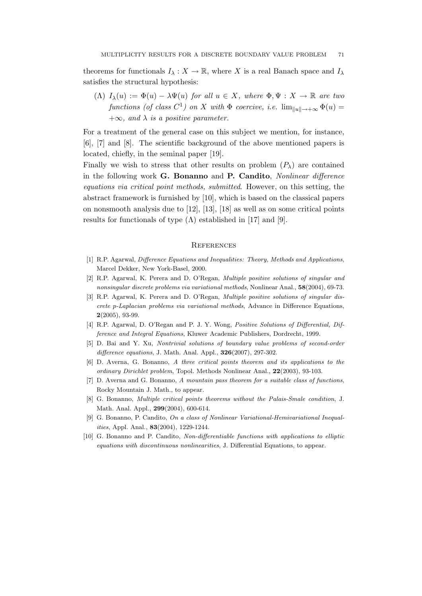theorems for functionals  $I_\lambda : X \to \mathbb{R}$ , where X is a real Banach space and  $I_\lambda$ satisfies the structural hypothesis:

(Λ)  $I_{\lambda}(u) := \Phi(u) - \lambda \Psi(u)$  for all  $u \in X$ , where  $\Phi, \Psi : X \to \mathbb{R}$  are two functions (of class  $C^1$ ) on X with  $\Phi$  coercive, i.e.  $\lim_{\|u\| \to +\infty} \Phi(u) =$  $+\infty$ , and  $\lambda$  is a positive parameter.

For a treatment of the general case on this subject we mention, for instance, [6], [7] and [8]. The scientific background of the above mentioned papers is located, chiefly, in the seminal paper [19].

Finally we wish to stress that other results on problem  $(P_\lambda)$  are contained in the following work G. Bonanno and P. Candito, Nonlinear difference equations via critical point methods, submitted. However, on this setting, the abstract framework is furnished by [10], which is based on the classical papers on nonsmooth analysis due to [12], [13], [18] as well as on some critical points results for functionals of type  $(\Lambda)$  established in [17] and [9].

## **REFERENCES**

- [1] R.P. Agarwal, Difference Equations and Inequalities: Theory, Methods and Applications, Marcel Dekker, New York-Basel, 2000.
- [2] R.P. Agarwal, K. Perera and D. O'Regan, Multiple positive solutions of singular and nonsingular discrete problems via variational methods, Nonlinear Anal., 58(2004), 69-73.
- [3] R.P. Agarwal, K. Perera and D. O'Regan, Multiple positive solutions of singular discrete p-Laplacian problems via variational methods, Advance in Difference Equations,  $2(2005)$ , 93-99.
- [4] R.P. Agarwal, D. O'Regan and P. J. Y. Wong, Positive Solutions of Differential, Difference and Integral Equations, Kluwer Academic Publishers, Dordrecht, 1999.
- [5] D. Bai and Y. Xu, Nontrivial solutions of boundary value problems of second-order difference equations, J. Math. Anal. Appl., **326**(2007), 297-302.
- [6] D. Averna, G. Bonanno, A three critical points theorem and its applications to the ordinary Dirichlet problem, Topol. Methods Nonlinear Anal., 22(2003), 93-103.
- [7] D. Averna and G. Bonanno, A mountain pass theorem for a suitable class of functions, Rocky Mountain J. Math., to appear.
- [8] G. Bonanno, Multiple critical points theorems without the Palais-Smale condition, J. Math. Anal. Appl., 299(2004), 600-614.
- [9] G. Bonanno, P. Candito, On a class of Nonlinear Variational-Hemivariational Inequalities, Appl. Anal., 83(2004), 1229-1244.
- [10] G. Bonanno and P. Candito, Non-differentiable functions with applications to elliptic equations with discontinuous nonlinearities, J. Differential Equations, to appear.